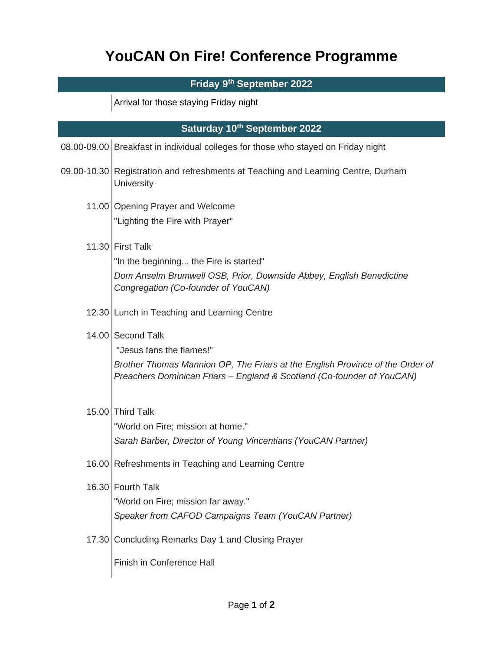## **YouCAN On Fire! Conference Programme**

## **Friday 9th September 2022**

Arrival for those staying Friday night

| Saturday 10th September 2022 |                                                                                                                                                                                                          |  |
|------------------------------|----------------------------------------------------------------------------------------------------------------------------------------------------------------------------------------------------------|--|
|                              | 08.00-09.00 Breakfast in individual colleges for those who stayed on Friday night                                                                                                                        |  |
|                              | 09.00-10.30 Registration and refreshments at Teaching and Learning Centre, Durham<br>University                                                                                                          |  |
|                              | 11.00 Opening Prayer and Welcome<br>"Lighting the Fire with Prayer"                                                                                                                                      |  |
|                              | 11.30 First Talk<br>"In the beginning the Fire is started"<br>Dom Anselm Brumwell OSB, Prior, Downside Abbey, English Benedictine<br>Congregation (Co-founder of YouCAN)                                 |  |
|                              | 12.30 Lunch in Teaching and Learning Centre                                                                                                                                                              |  |
|                              | 14.00 Second Talk<br>"Jesus fans the flames!"<br>Brother Thomas Mannion OP, The Friars at the English Province of the Order of<br>Preachers Dominican Friars - England & Scotland (Co-founder of YouCAN) |  |
|                              | 15.00 Third Talk<br>"World on Fire; mission at home."<br>Sarah Barber, Director of Young Vincentians (YouCAN Partner)                                                                                    |  |
|                              | 16.00 Refreshments in Teaching and Learning Centre                                                                                                                                                       |  |
|                              | 16.30 Fourth Talk<br>"World on Fire; mission far away."<br>Speaker from CAFOD Campaigns Team (YouCAN Partner)                                                                                            |  |
|                              | 17.30 Concluding Remarks Day 1 and Closing Prayer                                                                                                                                                        |  |
|                              | <b>Finish in Conference Hall</b>                                                                                                                                                                         |  |